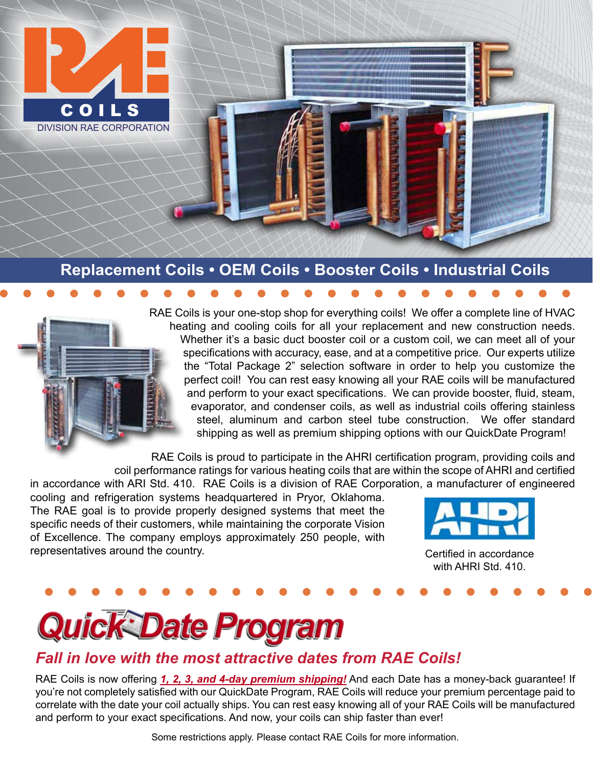

#### **Replacement Coils • OEM Coils • Booster Coils • Industrial Coils**

RAE Coils is your one-stop shop for everything coils! We offer a complete line of HVAC heating and cooling coils for all your replacement and new construction needs. Whether it's a basic duct booster coil or a custom coil, we can meet all of your specifications with accuracy, ease, and at a competitive price. Our experts utilize the "Total Package 2" selection software in order to help you customize the perfect coil! You can rest easy knowing all your RAE coils will be manufactured and perform to your exact specifications. We can provide booster, fluid, steam, evaporator, and condenser coils, as well as industrial coils offering stainless steel, aluminum and carbon steel tube construction. We offer standard shipping as well as premium shipping options with our QuickDate Program!

RAE Coils is proud to participate in the AHRI certification program, providing coils and coil performance ratings for various heating coils that are within the scope of AHRI and certified

in accordance with ARI Std. 410. RAE Coils is a division of RAE Corporation, a manufacturer of engineered cooling and refrigeration systems headquartered in Pryor, Oklahoma. The RAE goal is to provide properly designed systems that meet the specific needs of their customers, while maintaining the corporate Vision of Excellence. The company employs approximately 250 people, with representatives around the country. The country is a set of the country of the conduction of the conduction of



with AHRI Std. 410.



#### *Fall in love with the most attractive dates from RAE Coils!*

RAE Coils is now offering *1, 2, 3, and 4-day premium shipping!* And each Date has a money-back guarantee! If you're not completely satisfied with our QuickDate Program, RAE Coils will reduce your premium percentage paid to correlate with the date your coil actually ships. You can rest easy knowing all of your RAE Coils will be manufactured and perform to your exact specifications. And now, your coils can ship faster than ever!

Some restrictions apply. Please contact RAE Coils for more information.